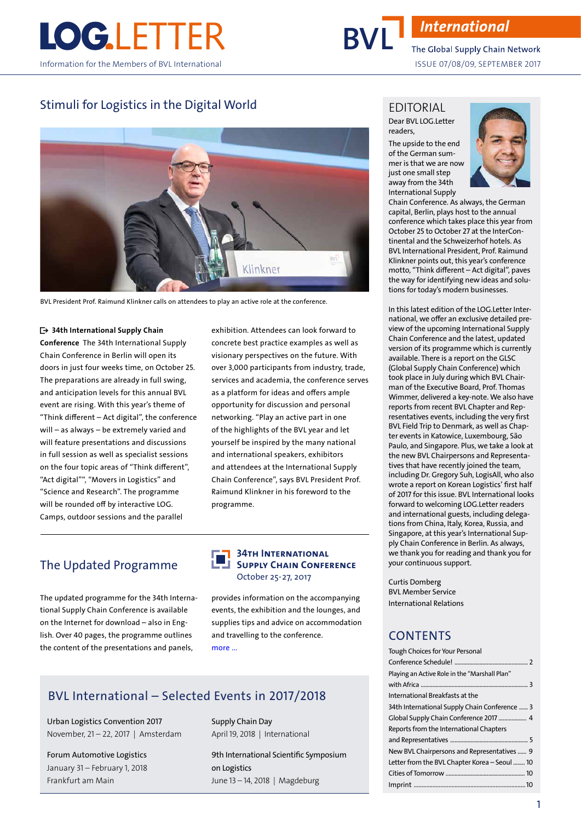

# **International**

The Global Supply Chain Network ISSUE 07/08/09, SEPTEMBER 2017

## Stimuli for Logistics in the Digital World



BVL President Prof. Raimund Klinkner calls on attendees to play an active role at the conference.

#### • 34th International Supply Chain

Conference The 34th International Supply Chain Conference in Berlin will open its doors in just four weeks time, on October 25. The preparations are already in full swing, and anticipation levels for this annual BVL event are rising. With this year's theme of "Think different – Act digital", the conference will – as always – be extremely varied and will feature presentations and discussions in full session as well as specialist sessions on the four topic areas of "Think different", "Act digital"", "Movers in Logistics" and "Science and Research". The programme will be rounded off by interactive LOG. Camps, outdoor sessions and the parallel

exhibition. Attendees can look forward to concrete best practice examples as well as visionary perspectives on the future. With over 3,000 participants from industry, trade, services and academia, the conference serves as a platform for ideas and offers ample opportunity for discussion and personal networking. "Play an active part in one of the highlights of the BVL year and let yourself be inspired by the many national and international speakers, exhibitors and attendees at the International Supply Chain Conference", says BVL President Prof. Raimund Klinkner in his foreword to the programme.

## The Updated Programme

The updated programme for the 34th International Supply Chain Conference is available on the Internet for download – also in English. Over 40 pages, the programme outlines the content of the presentations and panels,

#### 34TH INTERNATIONAL SUPPLY CHAIN CONFERENCE October 25-27, 2017

provides information on the accompanying events, the exhibition and the lounges, and supplies tips and advice on accommodation and travelling to the conference. more ...

### BVL International – Selected Events in 2017/2018

Urban Logistics Convention 2017 November, 21 – 22, 2017 | Amsterdam

Forum Automotive Logistics January 31 – February 1, 2018 Frankfurt am Main

Supply Chain Day April 19, 2018 | International

9th International Scientific Symposium on Logistics June 13 – 14, 2018 | Magdeburg

#### EDITORIAL

#### Dear BVL LOG.Letter readers,

The upside to the end of the German summer is that we are now just one small step away from the 34th International Supply



Chain Conference. As always, the German capital, Berlin, plays host to the annual conference which takes place this year from October 25 to October 27 at the InterContinental and the Schweizerhof hotels. As BVL International President, Prof. Raimund Klinkner points out, this year's conference motto, "Think different – Act digital", paves the way for identifying new ideas and solutions for today's modern businesses.

In this latest edition of the LOG.Letter International, we offer an exclusive detailed preview of the upcoming International Supply Chain Conference and the latest, updated version of its programme which is currently available. There is a report on the GLSC (Global Supply Chain Conference) which took place in July during which BVL Chairman of the Executive Board, Prof. Thomas Wimmer, delivered a key-note. We also have reports from recent BVL Chapter and Representatives events, including the very first BVL Field Trip to Denmark, as well as Chapter events in Katowice, Luxembourg, São Paulo, and Singapore. Plus, we take a look at the new BVL Chairpersons and Representatives that have recently joined the team, including Dr. Gregory Suh, LogisAll, who also wrote a report on Korean Logistics' first half of 2017 for this issue. BVL International looks forward to welcoming LOG.Letter readers and international guests, including delegations from China, Italy, Korea, Russia, and Singapore, at this year's International Supply Chain Conference in Berlin. As always, we thank you for reading and thank you for your continuous support.

Curtis Domberg BVL Member Service International Relations

### **CONTENTS**

| <b>Tough Choices for Your Personal</b>        |
|-----------------------------------------------|
|                                               |
| Playing an Active Role in the "Marshall Plan" |
|                                               |
| International Breakfasts at the               |
| 34th International Supply Chain Conference  3 |
| Global Supply Chain Conference 2017  4        |
| Reports from the International Chapters       |
|                                               |
| New BVL Chairpersons and Representatives  9   |
| Letter from the BVL Chapter Korea - Seoul  10 |
|                                               |
|                                               |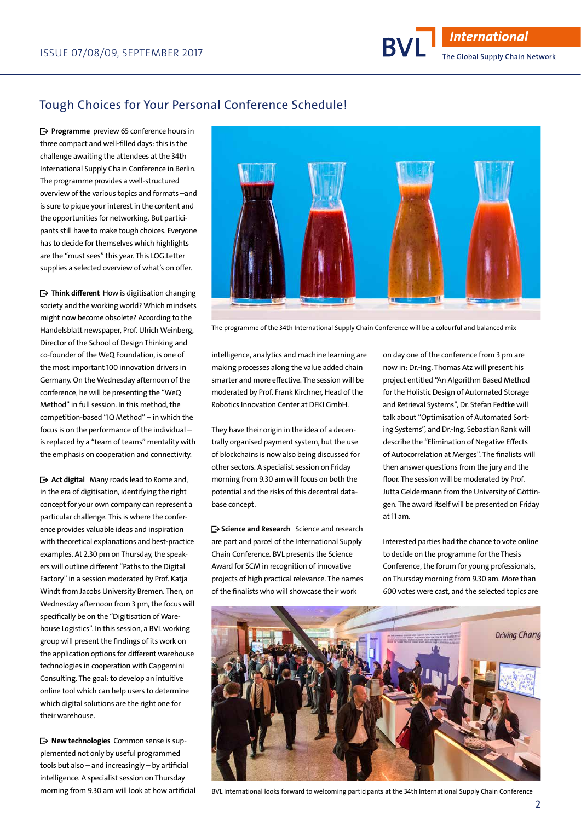## Tough Choices for Your Personal Conference Schedule!

 $\rightarrow$  Programme preview 65 conference hours in three compact and well-filled days: this is the challenge awaiting the attendees at the 34th International Supply Chain Conference in Berlin. The programme provides a well-structured overview of the various topics and formats –and is sure to pique your interest in the content and the opportunities for networking. But participants still have to make tough choices. Everyone has to decide for themselves which highlights are the "must sees" this year. This LOG.Letter supplies a selected overview of what's on offer.

• Think different How is digitisation changing society and the working world? Which mindsets might now become obsolete? According to the Handelsblatt newspaper, Prof. Ulrich Weinberg, Director of the School of Design Thinking and co-founder of the WeQ Foundation, is one of the most important 100 innovation drivers in Germany. On the Wednesday afternoon of the conference, he will be presenting the "WeQ Method" in full session. In this method, the competition-based "IQ Method" – in which the focus is on the performance of the individual – is replaced by a "team of teams" mentality with the emphasis on cooperation and connectivity.

 $\rightarrow$  **Act digital** Many roads lead to Rome and, in the era of digitisation, identifying the right concept for your own company can represent a particular challenge. This is where the conference provides valuable ideas and inspiration with theoretical explanations and best-practice examples. At 2.30 pm on Thursday, the speakers will outline different "Paths to the Digital Factory" in a session moderated by Prof. Katja Windt from Jacobs University Bremen. Then, on Wednesday afternoon from 3 pm, the focus will specifically be on the "Digitisation of Warehouse Logistics". In this session, a BVL working group will present the findings of its work on the application options for different warehouse technologies in cooperation with Capgemini Consulting. The goal: to develop an intuitive online tool which can help users to determine which digital solutions are the right one for their warehouse.

 $→$  **New technologies** Common sense is supplemented not only by useful programmed tools but also – and increasingly – by artificial intelligence. A specialist session on Thursday morning from 9.30 am will look at how artificial



The programme of the 34th International Supply Chain Conference will be a colourful and balanced mix

intelligence, analytics and machine learning are making processes along the value added chain smarter and more effective. The session will be moderated by Prof. Frank Kirchner, Head of the Robotics Innovation Center at DFKI GmbH.

They have their origin in the idea of a decentrally organised payment system, but the use of blockchains is now also being discussed for other sectors. A specialist session on Friday morning from 9.30 am will focus on both the potential and the risks of this decentral database concept.

 $\rightarrow$  **Science and Research** Science and research are part and parcel of the International Supply Chain Conference. BVL presents the Science Award for SCM in recognition of innovative projects of high practical relevance. The names of the finalists who will showcase their work

on day one of the conference from 3 pm are now in: Dr.-Ing. Thomas Atz will present his project entitled "An Algorithm Based Method for the Holistic Design of Automated Storage and Retrieval Systems", Dr. Stefan Fedtke will talk about "Optimisation of Automated Sorting Systems", and Dr.-Ing. Sebastian Rank will describe the "Elimination of Negative Effects of Autocorrelation at Merges". The finalists will then answer questions from the jury and the floor. The session will be moderated by Prof. Jutta Geldermann from the University of Göttingen. The award itself will be presented on Friday at 11 am.

Interested parties had the chance to vote online to decide on the programme for the Thesis Conference, the forum for young professionals, on Thursday morning from 9.30 am. More than 600 votes were cast, and the selected topics are



BVL International looks forward to welcoming participants at the 34th International Supply Chain Conference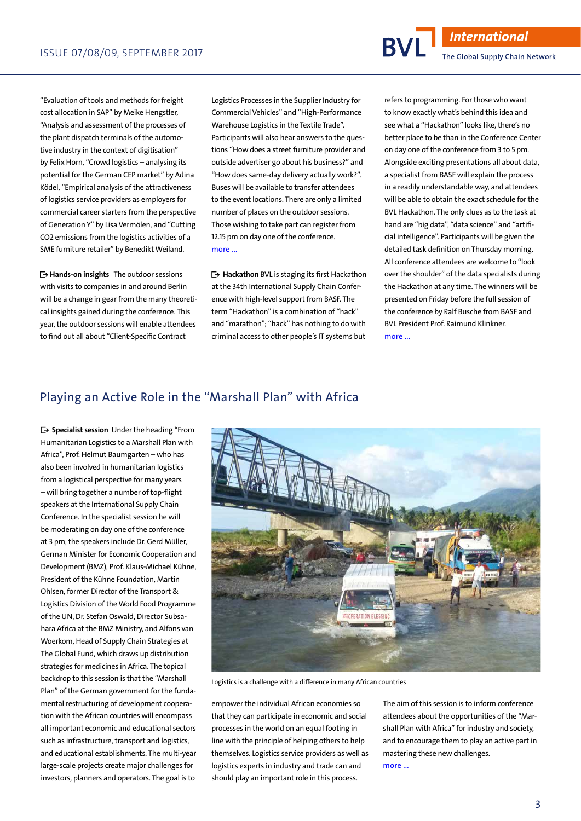"Evaluation of tools and methods for freight cost allocation in SAP" by Meike Hengstler, "Analysis and assessment of the processes of the plant dispatch terminals of the automotive industry in the context of digitisation" by Felix Horn, "Crowd logistics – analysing its potential for the German CEP market" by Adina Ködel, "Empirical analysis of the attractiveness of logistics service providers as employers for commercial career starters from the perspective of Generation Y" by Lisa Vermölen, and "Cutting CO2 emissions from the logistics activities of a SME furniture retailer" by Benedikt Weiland.

• Hands-on insights The outdoor sessions with visits to companies in and around Berlin will be a change in gear from the many theoretical insights gained during the conference. This year, the outdoor sessions will enable attendees to find out all about "Client-Specific Contract

Logistics Processes in the Supplier Industry for Commercial Vehicles" and "High-Performance Warehouse Logistics in the Textile Trade". Participants will also hear answers to the questions "How does a street furniture provider and outside advertiser go about his business?" and "How does same-day delivery actually work?". Buses will be available to transfer attendees to the event locations. There are only a limited number of places on the outdoor sessions. Those wishing to take part can register from 12.15 pm on day one of the conference. more ...

■• Hackathon BVL is staging its first Hackathon at the 34th International Supply Chain Conference with high-level support from BASF. The term "Hackathon" is a combination of "hack" and "marathon"; "hack" has nothing to do with criminal access to other people's IT systems but

logistics experts in industry and trade can and should play an important role in this process.

refers to programming. For those who want to know exactly what's behind this idea and see what a "Hackathon" looks like, there's no better place to be than in the Conference Center on day one of the conference from 3 to 5 pm. Alongside exciting presentations all about data, a specialist from BASF will explain the process in a readily understandable way, and attendees will be able to obtain the exact schedule for the BVL Hackathon. The only clues as to the task at hand are "big data", "data science" and "artificial intelligence". Participants will be given the detailed task definition on Thursday morning. All conference attendees are welcome to "look over the shoulder" of the data specialists during the Hackathon at any time. The winners will be presented on Friday before the full session of the conference by Ralf Busche from BASF and BVL President Prof. Raimund Klinkner. more ...

### Playing an Active Role in the "Marshall Plan" with Africa

■• Specialist session Under the heading "From Humanitarian Logistics to a Marshall Plan with Africa", Prof. Helmut Baumgarten – who has also been involved in humanitarian logistics from a logistical perspective for many years – will bring together a number of top-flight speakers at the International Supply Chain Conference. In the specialist session he will be moderating on day one of the conference at 3 pm, the speakers include Dr. Gerd Müller, German Minister for Economic Cooperation and Development (BMZ), Prof. Klaus-Michael Kühne, President of the Kühne Foundation, Martin Ohlsen, former Director of the Transport & Logistics Division of the World Food Programme of the UN, Dr. Stefan Oswald, Director Subsahara Africa at the BMZ Ministry, and Alfons van Woerkom, Head of Supply Chain Strategies at The Global Fund, which draws up distribution strategies for medicines in Africa. The topical backdrop to this session is that the "Marshall Plan" of the German government for the fundamental restructuring of development cooperation with the African countries will encompass all important economic and educational sectors such as infrastructure, transport and logistics, and educational establishments. The multi-year large-scale projects create major challenges for investors, planners and operators. The goal is to



#### more ...

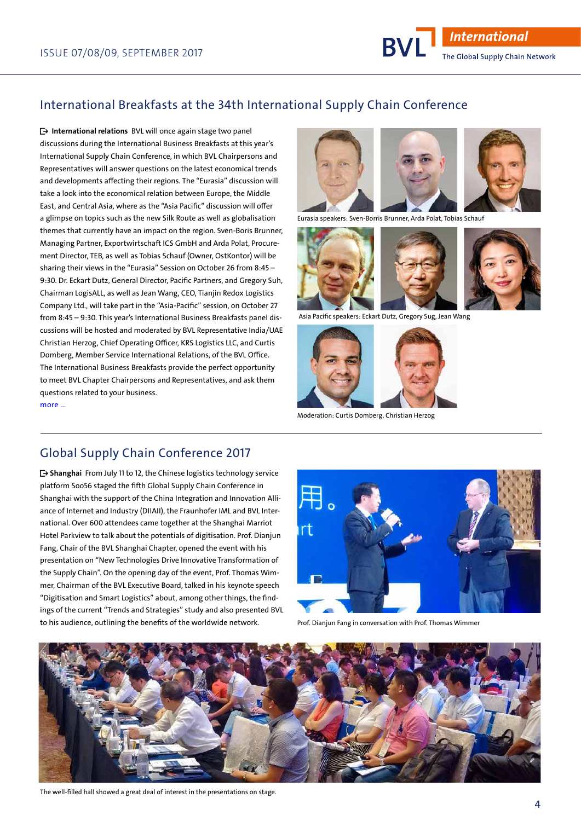## International Breakfasts at the 34th International Supply Chain Conference

 $\rightarrow$  International relations BVL will once again stage two panel discussions during the International Business Breakfasts at this year's International Supply Chain Conference, in which BVL Chairpersons and Representatives will answer questions on the latest economical trends and developments affecting their regions. The "Eurasia" discussion will take a look into the economical relation between Europe, the Middle East, and Central Asia, where as the "Asia Pacific" discussion will offer a glimpse on topics such as the new Silk Route as well as globalisation themes that currently have an impact on the region. Sven-Boris Brunner, Managing Partner, Exportwirtschaft ICS GmbH and Arda Polat, Procurement Director, TEB, as well as Tobias Schauf (Owner, OstKontor) will be sharing their views in the "Eurasia" Session on October 26 from 8:45 – 9:30. Dr. Eckart Dutz, General Director, Pacific Partners, and Gregory Suh, Chairman LogisALL, as well as Jean Wang, CEO, Tianjin Redox Logistics Company Ltd., will take part in the "Asia-Pacific" session, on October 27 from 8:45 – 9:30. This year's International Business Breakfasts panel discussions will be hosted and moderated by BVL Representative India/UAE Christian Herzog, Chief Operating Officer, KRS Logistics LLC, and Curtis Domberg, Member Service International Relations, of the BVL Office. The International Business Breakfasts provide the perfect opportunity to meet BVL Chapter Chairpersons and Representatives, and ask them questions related to your business. more ...



Eurasia speakers: Sven-Borris Brunner, Arda Polat, Tobias Schauf





Asia Pacific speakers: Eckart Dutz, Gregory Sug, Jean Wang



Moderation: Curtis Domberg, Christian Herzog

### Global Supply Chain Conference 2017

• Shanghai From July 11 to 12, the Chinese logistics technology service platform Soo56 staged the fifth Global Supply Chain Conference in Shanghai with the support of the China Integration and Innovation Alliance of Internet and Industry (DIIAII), the Fraunhofer IML and BVL International. Over 600 attendees came together at the Shanghai Marriot Hotel Parkview to talk about the potentials of digitisation. Prof. Dianjun Fang, Chair of the BVL Shanghai Chapter, opened the event with his presentation on "New Technologies Drive Innovative Transformation of the Supply Chain". On the opening day of the event, Prof. Thomas Wimmer, Chairman of the BVL Executive Board, talked in his keynote speech "Digitisation and Smart Logistics" about, among other things, the findings of the current "Trends and Strategies" study and also presented BVL to his audience, outlining the benefits of the worldwide network.



Prof. Dianjun Fang in conversation with Prof. Thomas Wimmer



The well-filled hall showed a great deal of interest in the presentations on stage.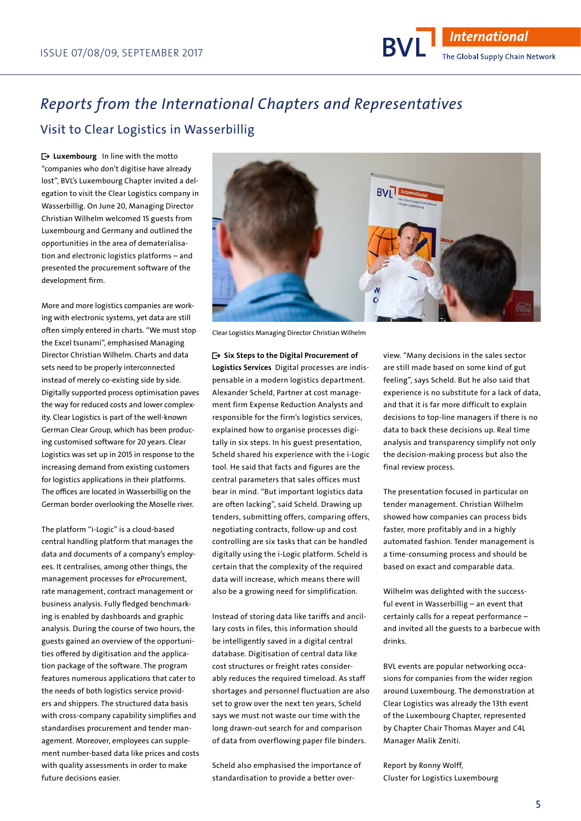# Visit to Clear Logistics in Wasserbillig *Reports from the International Chapters and Representatives*

 $\rightarrow$  Luxembourg In line with the motto "companies who don't digitise have already lost", BVL's Luxembourg Chapter invited a delegation to visit the Clear Logistics company in Wasserbillig. On June 20, Managing Director Christian Wilhelm welcomed 15 guests from Luxembourg and Germany and outlined the opportunities in the area of dematerialisation and electronic logistics platforms – and presented the procurement software of the development firm.

More and more logistics companies are working with electronic systems, yet data are still often simply entered in charts. "We must stop the Excel tsunami", emphasised Managing Director Christian Wilhelm. Charts and data sets need to be properly interconnected instead of merely co-existing side by side. Digitally supported process optimisation paves the way for reduced costs and lower complexity. Clear Logistics is part of the well-known German Clear Group, which has been producing customised software for 20 years. Clear Logistics was set up in 2015 in response to the increasing demand from existing customers for logistics applications in their platforms. The offices are located in Wasserbillig on the German border overlooking the Moselle river.

The platform "i-Logic" is a cloud-based central handling platform that manages the data and documents of a company's employees. It centralises, among other things, the management processes for eProcurement, rate management, contract management or business analysis. Fully fledged benchmarking is enabled by dashboards and graphic analysis. During the course of two hours, the guests gained an overview of the opportunities offered by digitisation and the application package of the software. The program features numerous applications that cater to the needs of both logistics service providers and shippers. The structured data basis with cross-company capability simplifies and standardises procurement and tender management. Moreover, employees can supplement number-based data like prices and costs with quality assessments in order to make future decisions easier.



Clear Logistics Managing Director Christian Wilhelm

• Six Steps to the Digital Procurement of

Logistics Services Digital processes are indispensable in a modern logistics department. Alexander Scheld, Partner at cost management firm Expense Reduction Analysts and responsible for the firm's logistics services, explained how to organise processes digitally in six steps. In his guest presentation, Scheld shared his experience with the i-Logic tool. He said that facts and figures are the central parameters that sales offices must bear in mind. "But important logistics data are often lacking", said Scheld. Drawing up tenders, submitting offers, comparing offers, negotiating contracts, follow-up and cost controlling are six tasks that can be handled digitally using the i-Logic platform. Scheld is certain that the complexity of the required data will increase, which means there will also be a growing need for simplification.

Instead of storing data like tariffs and ancillary costs in files, this information should be intelligently saved in a digital central database. Digitisation of central data like cost structures or freight rates considerably reduces the required timeload. As staff shortages and personnel fluctuation are also set to grow over the next ten years, Scheld says we must not waste our time with the long drawn-out search for and comparison of data from overflowing paper file binders.

Scheld also emphasised the importance of standardisation to provide a better overview. "Many decisions in the sales sector are still made based on some kind of gut feeling", says Scheld. But he also said that experience is no substitute for a lack of data, and that it is far more difficult to explain decisions to top-line managers if there is no data to back these decisions up. Real time analysis and transparency simplify not only the decision-making process but also the final review process.

The presentation focused in particular on tender management. Christian Wilhelm showed how companies can process bids faster, more profitably and in a highly automated fashion. Tender management is a time-consuming process and should be based on exact and comparable data.

Wilhelm was delighted with the successful event in Wasserbillig – an event that certainly calls for a repeat performance – and invited all the guests to a barbecue with drinks.

BVL events are popular networking occasions for companies from the wider region around Luxembourg. The demonstration at Clear Logistics was already the 13th event of the Luxembourg Chapter, represented by Chapter Chair Thomas Mayer and C4L Manager Malik Zeniti.

Report by Ronny Wolff, Cluster for Logistics Luxembourg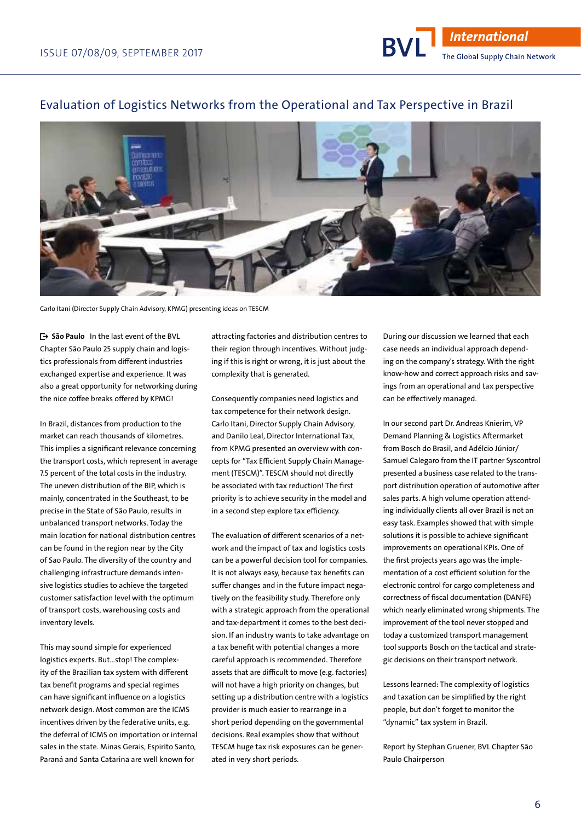#### Evaluation of Logistics Networks from the Operational and Tax Perspective in Brazil



Carlo Itani (Director Supply Chain Advisory, KPMG) presenting ideas on TESCM

• São Paulo In the last event of the BVL Chapter São Paulo 25 supply chain and logistics professionals from different industries exchanged expertise and experience. It was also a great opportunity for networking during the nice coffee breaks offered by KPMG!

In Brazil, distances from production to the market can reach thousands of kilometres. This implies a significant relevance concerning the transport costs, which represent in average 7.5 percent of the total costs in the industry. The uneven distribution of the BIP, which is mainly, concentrated in the Southeast, to be precise in the State of São Paulo, results in unbalanced transport networks. Today the main location for national distribution centres can be found in the region near by the City of Sao Paulo. The diversity of the country and challenging infrastructure demands intensive logistics studies to achieve the targeted customer satisfaction level with the optimum of transport costs, warehousing costs and inventory levels.

This may sound simple for experienced logistics experts. But…stop! The complexity of the Brazilian tax system with different tax benefit programs and special regimes can have significant influence on a logistics network design. Most common are the ICMS incentives driven by the federative units, e.g. the deferral of ICMS on importation or internal sales in the state. Minas Gerais, Espirito Santo, Paraná and Santa Catarina are well known for

attracting factories and distribution centres to their region through incentives. Without judging if this is right or wrong, it is just about the complexity that is generated.

Consequently companies need logistics and tax competence for their network design. Carlo Itani, Director Supply Chain Advisory, and Danilo Leal, Director International Tax, from KPMG presented an overview with concepts for "Tax Efficient Supply Chain Management (TESCM)". TESCM should not directly be associated with tax reduction! The first priority is to achieve security in the model and in a second step explore tax efficiency.

The evaluation of different scenarios of a network and the impact of tax and logistics costs can be a powerful decision tool for companies. It is not always easy, because tax benefits can suffer changes and in the future impact negatively on the feasibility study. Therefore only with a strategic approach from the operational and tax-department it comes to the best decision. If an industry wants to take advantage on a tax benefit with potential changes a more careful approach is recommended. Therefore assets that are difficult to move (e.g. factories) will not have a high priority on changes, but setting up a distribution centre with a logistics provider is much easier to rearrange in a short period depending on the governmental decisions. Real examples show that without TESCM huge tax risk exposures can be generated in very short periods.

During our discussion we learned that each case needs an individual approach depending on the company's strategy. With the right know-how and correct approach risks and savings from an operational and tax perspective can be effectively managed.

In our second part Dr. Andreas Knierim, VP Demand Planning & Logistics Aftermarket from Bosch do Brasil, and Adélcio Júnior/ Samuel Calegaro from the IT partner Syscontrol presented a business case related to the transport distribution operation of automotive after sales parts. A high volume operation attending individually clients all over Brazil is not an easy task. Examples showed that with simple solutions it is possible to achieve significant improvements on operational KPIs. One of the first projects years ago was the implementation of a cost efficient solution for the electronic control for cargo completeness and correctness of fiscal documentation (DANFE) which nearly eliminated wrong shipments. The improvement of the tool never stopped and today a customized transport management tool supports Bosch on the tactical and strategic decisions on their transport network.

Lessons learned: The complexity of logistics and taxation can be simplified by the right people, but don't forget to monitor the "dynamic" tax system in Brazil.

Report by Stephan Gruener, BVL Chapter São Paulo Chairperson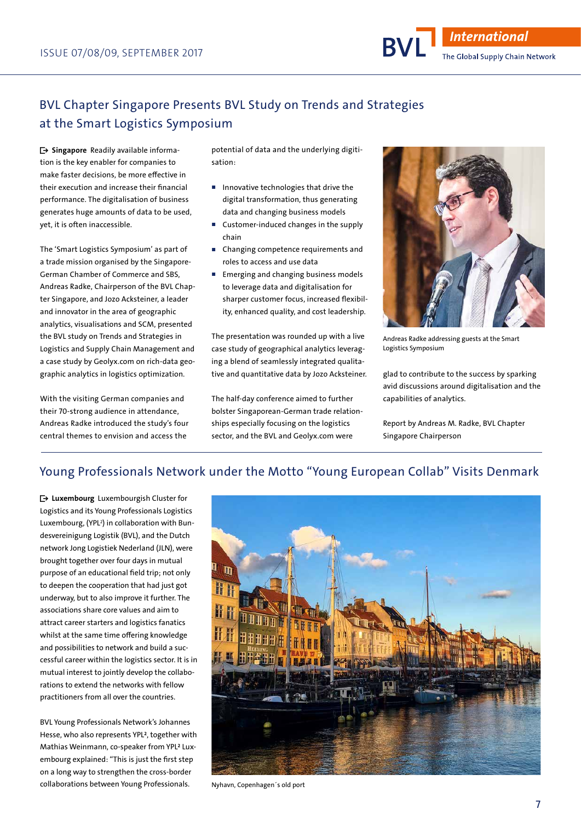# BVL Chapter Singapore Presents BVL Study on Trends and Strategies at the Smart Logistics Symposium

 $\rightarrow$  **Singapore** Readily available information is the key enabler for companies to make faster decisions, be more effective in their execution and increase their financial performance. The digitalisation of business generates huge amounts of data to be used, yet, it is often inaccessible.

The 'Smart Logistics Symposium' as part of a trade mission organised by the Singapore-German Chamber of Commerce and SBS, Andreas Radke, Chairperson of the BVL Chapter Singapore, and Jozo Acksteiner, a leader and innovator in the area of geographic analytics, visualisations and SCM, presented the BVL study on Trends and Strategies in Logistics and Supply Chain Management and a case study by Geolyx.com on rich-data geographic analytics in logistics optimization.

With the visiting German companies and their 70-strong audience in attendance, Andreas Radke introduced the study's four central themes to envision and access the

potential of data and the underlying digitisation:

- Innovative technologies that drive the digital transformation, thus generating data and changing business models
- Customer-induced changes in the supply chain
- Changing competence requirements and roles to access and use data
- Emerging and changing business models to leverage data and digitalisation for sharper customer focus, increased flexibility, enhanced quality, and cost leadership.

The presentation was rounded up with a live case study of geographical analytics leveraging a blend of seamlessly integrated qualitative and quantitative data by Jozo Acksteiner.

The half-day conference aimed to further bolster Singaporean-German trade relationships especially focusing on the logistics sector, and the BVL and Geolyx.com were



Andreas Radke addressing guests at the Smart Logistics Symposium

glad to contribute to the success by sparking avid discussions around digitalisation and the capabilities of analytics.

Report by Andreas M. Radke, BVL Chapter Singapore Chairperson

# Young Professionals Network under the Motto "Young European Collab" Visits Denmark

• Luxembourg Luxembourgish Cluster for Logistics and its Young Professionals Logistics Luxembourg, (YPL2 ) in collaboration with Bundesvereinigung Logistik (BVL), and the Dutch network Jong Logistiek Nederland (JLN), were brought together over four days in mutual purpose of an educational field trip; not only to deepen the cooperation that had just got underway, but to also improve it further. The associations share core values and aim to attract career starters and logistics fanatics whilst at the same time offering knowledge and possibilities to network and build a successful career within the logistics sector. It is in mutual interest to jointly develop the collaborations to extend the networks with fellow practitioners from all over the countries.

BVL Young Professionals Network's Johannes Hesse, who also represents YPL², together with Mathias Weinmann, co-speaker from YPL² Luxembourg explained: "This is just the first step on a long way to strengthen the cross-border collaborations between Young Professionals. Nyhavn, Copenhagen's old port

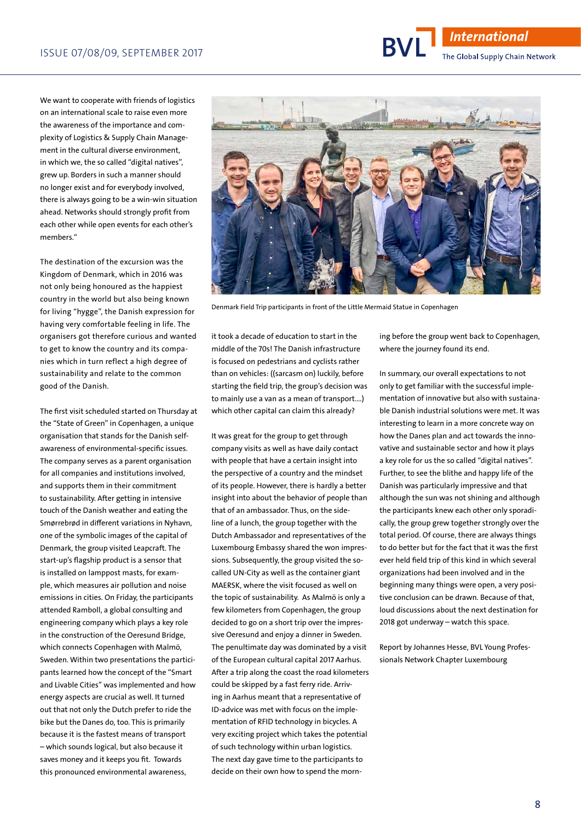We want to cooperate with friends of logistics on an international scale to raise even more the awareness of the importance and complexity of Logistics & Supply Chain Management in the cultural diverse environment, in which we, the so called "digital natives", grew up. Borders in such a manner should no longer exist and for everybody involved, there is always going to be a win-win situation ahead. Networks should strongly profit from each other while open events for each other's members."

The destination of the excursion was the Kingdom of Denmark, which in 2016 was not only being honoured as the happiest country in the world but also being known for living "hygge", the Danish expression for having very comfortable feeling in life. The organisers got therefore curious and wanted to get to know the country and its companies which in turn reflect a high degree of sustainability and relate to the common good of the Danish.

The first visit scheduled started on Thursday at the "State of Green" in Copenhagen, a unique organisation that stands for the Danish selfawareness of environmental-specific issues. The company serves as a parent organisation for all companies and institutions involved, and supports them in their commitment to sustainability. After getting in intensive touch of the Danish weather and eating the Smørrebrød in different variations in Nyhavn, one of the symbolic images of the capital of Denmark, the group visited Leapcraft. The start-up's flagship product is a sensor that is installed on lamppost masts, for example, which measures air pollution and noise emissions in cities. On Friday, the participants attended Ramboll, a global consulting and engineering company which plays a key role in the construction of the Oeresund Bridge, which connects Copenhagen with Malmö, Sweden. Within two presentations the participants learned how the concept of the "Smart and Livable Cities" was implemented and how energy aspects are crucial as well. It turned out that not only the Dutch prefer to ride the bike but the Danes do, too. This is primarily because it is the fastest means of transport – which sounds logical, but also because it saves money and it keeps you fit. Towards this pronounced environmental awareness,

it took a decade of education to start in the middle of the 70s! The Danish infrastructure is focused on pedestrians and cyclists rather than on vehicles: ((sarcasm on) luckily, before starting the field trip, the group's decision was to mainly use a van as a mean of transport….) which other capital can claim this already?

Denmark Field Trip participants in front of the Little Mermaid Statue in Copenhagen

It was great for the group to get through company visits as well as have daily contact with people that have a certain insight into the perspective of a country and the mindset of its people. However, there is hardly a better insight into about the behavior of people than that of an ambassador. Thus, on the sideline of a lunch, the group together with the Dutch Ambassador and representatives of the Luxembourg Embassy shared the won impressions. Subsequently, the group visited the socalled UN-City as well as the container giant MAERSK, where the visit focused as well on the topic of sustainability. As Malmö is only a few kilometers from Copenhagen, the group decided to go on a short trip over the impressive Oeresund and enjoy a dinner in Sweden. The penultimate day was dominated by a visit of the European cultural capital 2017 Aarhus. After a trip along the coast the road kilometers could be skipped by a fast ferry ride. Arriving in Aarhus meant that a representative of ID-advice was met with focus on the implementation of RFID technology in bicycles. A very exciting project which takes the potential of such technology within urban logistics. The next day gave time to the participants to decide on their own how to spend the morning before the group went back to Copenhagen, where the journey found its end.

In summary, our overall expectations to not only to get familiar with the successful implementation of innovative but also with sustainable Danish industrial solutions were met. It was interesting to learn in a more concrete way on how the Danes plan and act towards the innovative and sustainable sector and how it plays a key role for us the so called "digital natives". Further, to see the blithe and happy life of the Danish was particularly impressive and that although the sun was not shining and although the participants knew each other only sporadically, the group grew together strongly over the total period. Of course, there are always things to do better but for the fact that it was the first ever held field trip of this kind in which several organizations had been involved and in the beginning many things were open, a very positive conclusion can be drawn. Because of that, loud discussions about the next destination for 2018 got underway – watch this space.

Report by Johannes Hesse, BVL Young Professionals Network Chapter Luxembourg



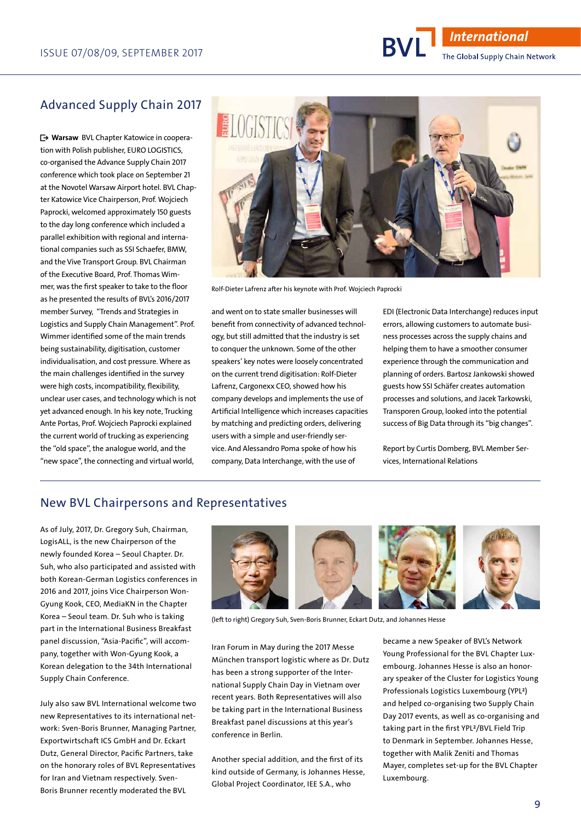## Advanced Supply Chain 2017

■• Warsaw BVL Chapter Katowice in cooperation with Polish publisher, EURO LOGISTICS, co-organised the Advance Supply Chain 2017 conference which took place on September 21 at the Novotel Warsaw Airport hotel. BVL Chapter Katowice Vice Chairperson, Prof. Wojciech Paprocki, welcomed approximately 150 guests to the day long conference which included a parallel exhibition with regional and international companies such as SSI Schaefer, BMW, and the Vive Transport Group. BVL Chairman of the Executive Board, Prof. Thomas Wimmer, was the first speaker to take to the floor as he presented the results of BVL's 2016/2017 member Survey, "Trends and Strategies in Logistics and Supply Chain Management". Prof. Wimmer identified some of the main trends being sustainability, digitisation, customer individualisation, and cost pressure. Where as the main challenges identified in the survey were high costs, incompatibility, flexibility, unclear user cases, and technology which is not yet advanced enough. In his key note, Trucking Ante Portas, Prof. Wojciech Paprocki explained the current world of trucking as experiencing the "old space", the analogue world, and the "new space", the connecting and virtual world,



Rolf-Dieter Lafrenz after his keynote with Prof. Wojciech Paprocki

and went on to state smaller businesses will benefit from connectivity of advanced technology, but still admitted that the industry is set to conquer the unknown. Some of the other speakers' key notes were loosely concentrated on the current trend digitisation: Rolf-Dieter Lafrenz, Cargonexx CEO, showed how his company develops and implements the use of Artificial Intelligence which increases capacities by matching and predicting orders, delivering users with a simple and user-friendly service. And Alessandro Poma spoke of how his company, Data Interchange, with the use of

EDI (Electronic Data Interchange) reduces input errors, allowing customers to automate business processes across the supply chains and helping them to have a smoother consumer experience through the communication and planning of orders. Bartosz Jankowski showed guests how SSI Schäfer creates automation processes and solutions, and Jacek Tarkowski, Transporen Group, looked into the potential success of Big Data through its "big changes".

Report by Curtis Domberg, BVL Member Services, International Relations

#### New BVL Chairpersons and Representatives

As of July, 2017, Dr. Gregory Suh, Chairman, LogisALL, is the new Chairperson of the newly founded Korea – Seoul Chapter. Dr. Suh, who also participated and assisted with both Korean-German Logistics conferences in 2016 and 2017, joins Vice Chairperson Won-Gyung Kook, CEO, MediaKN in the Chapter Korea – Seoul team. Dr. Suh who is taking part in the International Business Breakfast panel discussion, "Asia-Pacific", will accompany, together with Won-Gyung Kook, a Korean delegation to the 34th International Supply Chain Conference.

July also saw BVL International welcome two new Representatives to its international network: Sven-Boris Brunner, Managing Partner, Exportwirtschaft ICS GmbH and Dr. Eckart Dutz, General Director, Pacific Partners, take on the honorary roles of BVL Representatives for Iran and Vietnam respectively. Sven-Boris Brunner recently moderated the BVL



(left to right) Gregory Suh, Sven-Boris Brunner, Eckart Dutz, and Johannes Hesse

Iran Forum in May during the 2017 Messe München transport logistic where as Dr. Dutz has been a strong supporter of the International Supply Chain Day in Vietnam over recent years. Both Representatives will also be taking part in the International Business Breakfast panel discussions at this year's conference in Berlin.

Another special addition, and the first of its kind outside of Germany, is Johannes Hesse, Global Project Coordinator, IEE S.A., who

became a new Speaker of BVL's Network Young Professional for the BVL Chapter Luxembourg. Johannes Hesse is also an honorary speaker of the Cluster for Logistics Young Professionals Logistics Luxembourg (YPL²) and helped co-organising two Supply Chain Day 2017 events, as well as co-organising and taking part in the first YPL²/BVL Field Trip to Denmark in September. Johannes Hesse, together with Malik Zeniti and Thomas Mayer, completes set-up for the BVL Chapter Luxembourg.